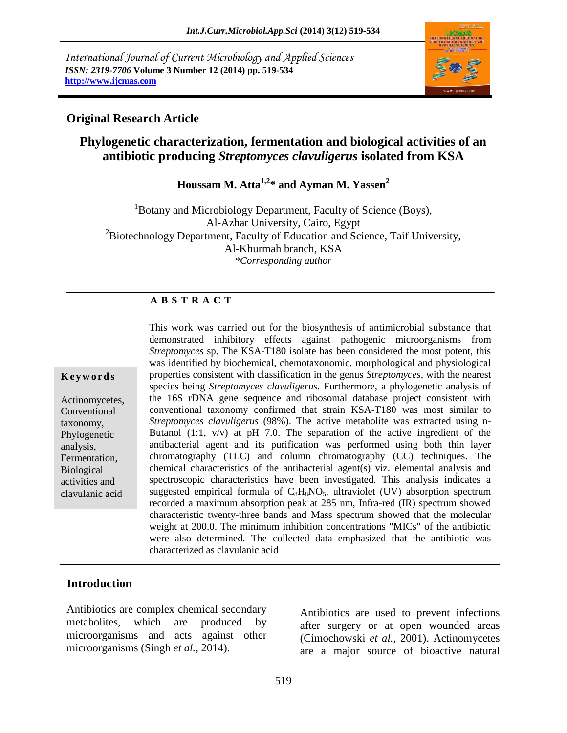*International Journal of Current Microbiology and Applied Sciences ISSN: 2319-7706* **Volume 3 Number 12 (2014) pp. 519-534 http://www.ijcmas.com** 



### **Original Research Article**

# **Phylogenetic characterization, fermentation and biological activities of an antibiotic producing** *Streptomyces clavuligerus* **isolated from KSA**

**Houssam M. Atta1,2\* and Ayman M. Yassen<sup>2</sup>**

<sup>1</sup>Botany and Microbiology Department, Faculty of Science (Boys), Al-Azhar University, Cairo, Egypt  ${}^{2}$ Biotechnology Department, Faculty of Education and Science, Taif University, Al-Khurmah branch, KSA *\*Corresponding author* 

# **A B S T R A C T**

#### **K e y w o r d s**

Actinomycetes, Conventional taxonomy, Phylogenetic analysis, Fermentation, Biological activities and clavulanic acid

This work was carried out for the biosynthesis of antimicrobial substance that demonstrated inhibitory effects against pathogenic microorganisms from *Streptomyces* sp. The KSA-T180 isolate has been considered the most potent, this was identified by biochemical, chemotaxonomic, morphological and physiological properties consistent with classification in the genus *Streptomyces*, with the nearest species being *Streptomyces clavuligerus.* Furthermore, a phylogenetic analysis of the 16S rDNA gene sequence and ribosomal database project consistent with conventional taxonomy confirmed that strain KSA-T180 was most similar to *Streptomyces clavuligerus* (98%). The active metabolite was extracted using n-Butanol  $(1:1, v/v)$  at pH 7.0. The separation of the active ingredient of the antibacterial agent and its purification was performed using both thin layer chromatography (TLC) and column chromatography (CC) techniques. The chemical characteristics of the antibacterial agent(s) viz. elemental analysis and spectroscopic characteristics have been investigated. This analysis indicates a suggested empirical formula of  $C_8H_8NO_5$ , ultraviolet (UV) absorption spectrum recorded a maximum absorption peak at 285 nm, Infra-red (IR) spectrum showed characteristic twenty-three bands and Mass spectrum showed that the molecular weight at 200.0. The minimum inhibition concentrations "MICs" of the antibiotic were also determined. The collected data emphasized that the antibiotic was characterized as clavulanic acid

# **Introduction**

Antibiotics are complex chemical secondary metabolites, which are produced by microorganisms and acts against other microorganisms (Singh *et al.,* 2014).

Antibiotics are used to prevent infections after surgery or at open wounded areas (Cimochowski *et al.*, 2001). Actinomycetes are a major source of bioactive natural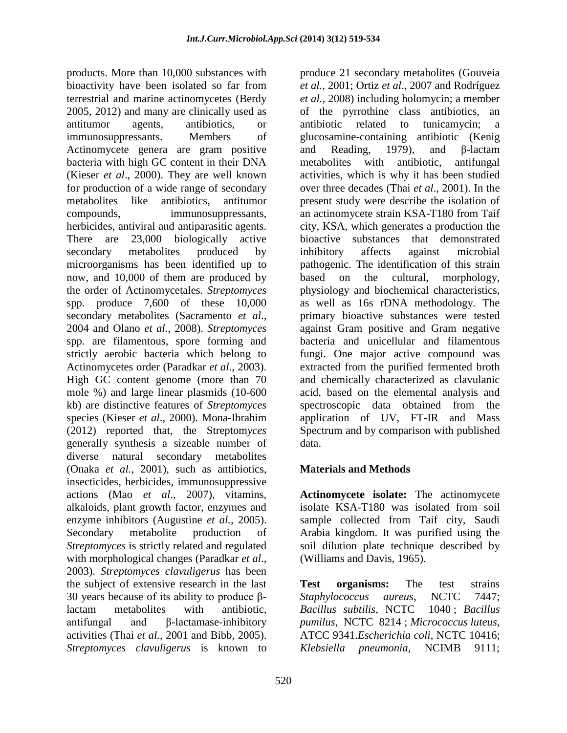products. More than 10,000 substances with bioactivity have been isolated so far from terrestrial and marine actinomycetes (Berdy 2005, 2012) and many are clinically used as antitumor agents, antibiotics, or immunosuppressants. Members of Actinomycete genera are gram positive bacteria with high GC content in their DNA (Kieser *et al*., 2000). They are well known for production of a wide range of secondary metabolites like antibiotics, antitumor compounds, immunosuppressants, herbicides, antiviral and antiparasitic agents. There are 23,000 biologically active secondary metabolites produced by microorganisms has been identified up to now, and 10,000 of them are produced by the order of Actinomycetales. *Streptomyces*  spp. produce 7,600 of these 10,000 secondary metabolites (Sacramento *et al*., 2004 and Olano *et al*., 2008). *Streptomyces*  spp. are filamentous, spore forming and strictly aerobic bacteria which belong to Actinomycetes order (Paradkar *et al*., 2003). High GC content genome (more than 70 mole %) and large linear plasmids (10-600 kb) are distinctive features of *Streptomyces*  species (Kieser *et al*., 2000). Mona-Ibrahim (2012) reported that, the Streptom*yces*  generally synthesis a sizeable number of diverse natural secondary metabolites (Onaka *et al.,* 2001), such as antibiotics, insecticides, herbicides, immunosuppressive actions (Mao *et al*., 2007), vitamins, alkaloids, plant growth factor, enzymes and enzyme inhibitors (Augustine *et al.,* 2005). Secondary metabolite production of *Streptomyces* is strictly related and regulated with morphological changes (Paradkar *et al*., 2003). *Streptomyces clavuligerus* has been the subject of extensive research in the last 30 years because of its ability to produce βlactam metabolites with antibiotic, antifungal and β-lactamase-inhibitory activities (Thai *et al.,* 2001 and Bibb, 2005). *Streptomyces clavuligerus* is known to

produce 21 secondary metabolites (Gouveia *et al.,* 2001; Ortiz *et al*., 2007 and Rodríguez *et al.,* 2008) including holomycin; a member of the pyrrothine class antibiotics, an antibiotic related to tunicamycin; a glucosamine-containing antibiotic (Kenig and Reading, 1979), and β-lactam metabolites with antibiotic, antifungal activities, which is why it has been studied over three decades (Thai *et al*., 2001). In the present study were describe the isolation of an actinomycete strain KSA-T180 from Taif city, KSA, which generates a production the bioactive substances that demonstrated inhibitory affects against microbial pathogenic. The identification of this strain based on the cultural, morphology, physiology and biochemical characteristics, as well as 16s rDNA methodology. The primary bioactive substances were tested against Gram positive and Gram negative bacteria and unicellular and filamentous fungi. One major active compound was extracted from the purified fermented broth and chemically characterized as clavulanic acid, based on the elemental analysis and spectroscopic data obtained from the application of UV, FT-IR and Mass Spectrum and by comparison with published data.

# **Materials and Methods**

**Actinomycete isolate:** The actinomycete isolate KSA-T180 was isolated from soil sample collected from Taif city, Saudi Arabia kingdom. It was purified using the soil dilution plate technique described by (Williams and Davis, 1965).

**Test organisms:** The test strains *Staphylococcus aureus*, NCTC 7447; *Bacillus subtilis*, NCTC 1040 ; *Bacillus pumilus*, NCTC 8214 ; *Micrococcus luteus*, ATCC 9341.*Escherichia coli*, NCTC 10416; *Klebsiella pneumonia*, NCIMB 9111;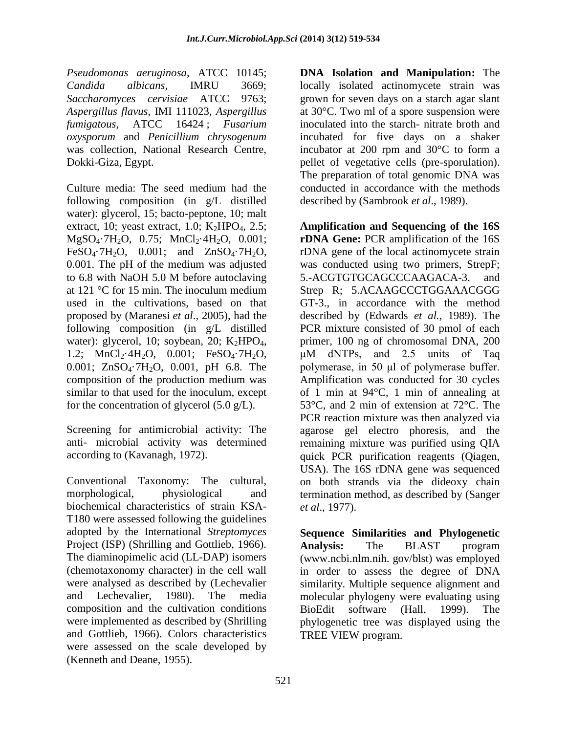*Pseudomonas aeruginosa*, ATCC 10145; *Candida albicans*, IMRU 3669; *Saccharomyces cervisiae* ATCC 9763; *Aspergillus flavus*, IMI 111023, *Aspergillus fumigatous*, ATCC 16424 ; *Fusarium oxysporum* and *Penicillium chrysogenum* was collection, National Research Centre, Dokki-Giza, Egypt.

Culture media: The seed medium had the following composition (in g/L distilled water): glycerol, 15; bacto-peptone, 10; malt extract, 10; yeast extract, 1.0;  $K_2HPO_4$ , 2.5; MgSO<sub>4</sub>·7H<sub>2</sub>O, 0.75; MnCl<sub>2</sub>·4H<sub>2</sub>O, 0.001; FeSO<sub>4</sub>·7H<sub>2</sub>O, 0.001; and  $ZnSO<sub>4</sub>$ ·7H<sub>2</sub>O, 0.001. The pH of the medium was adjusted to 6.8 with NaOH 5.0 M before autoclaving at 121 °C for 15 min. The inoculum medium used in the cultivations, based on that proposed by (Maranesi *et al*., 2005), had the following composition (in g/L distilled water): glycerol, 10; soybean, 20;  $K_2HPO_4$ , 1.2;  $MnCl_2 \cdot 4H_2O$ ,  $0.001$ ;  $FeSO_4 \cdot 7H_2O$ , 0.001; ZnSO<sub>4</sub>.7H<sub>2</sub>O, 0.001, pH 6.8. The composition of the production medium was similar to that used for the inoculum, except for the concentration of glycerol  $(5.0 \text{ g/L})$ .

Screening for antimicrobial activity: The anti- microbial activity was determined according to (Kavanagh, 1972).

Conventional Taxonomy: The cultural, morphological, physiological and biochemical characteristics of strain KSA-T180 were assessed following the guidelines adopted by the International *Streptomyces*  Project (ISP) (Shrilling and Gottlieb, 1966). The diaminopimelic acid (LL-DAP) isomers (chemotaxonomy character) in the cell wall were analysed as described by (Lechevalier and Lechevalier, 1980). The media composition and the cultivation conditions were implemented as described by (Shrilling and Gottlieb, 1966). Colors characteristics were assessed on the scale developed by (Kenneth and Deane, 1955).

**DNA Isolation and Manipulation:** The locally isolated actinomycete strain was grown for seven days on a starch agar slant at 30°C. Two ml of a spore suspension were inoculated into the starch- nitrate broth and incubated for five days on a shaker incubator at 200 rpm and 30°C to form a pellet of vegetative cells (pre-sporulation). The preparation of total genomic DNA was conducted in accordance with the methods described by (Sambrook *et al*., 1989).

**Amplification and Sequencing of the 16S rDNA Gene:** PCR amplification of the 16S rDNA gene of the local actinomycete strain was conducted using two primers, StrepF; 5.-ACGTGTGCAGCCCAAGACA-3. and Strep R; 5.ACAAGCCCTGGAAACGGG GT-3., in accordance with the method described by (Edwards *et al.,* 1989). The PCR mixture consisted of 30 pmol of each primer, 100 ng of chromosomal DNA, 200 μM dNTPs, and 2.5 units of Taq polymerase, in 50 μl of polymerase buffer. Amplification was conducted for 30 cycles of 1 min at 94°C, 1 min of annealing at 53°C, and 2 min of extension at 72°C. The PCR reaction mixture was then analyzed via agarose gel electro phoresis, and the remaining mixture was purified using QIA quick PCR purification reagents (Qiagen, USA). The 16S rDNA gene was sequenced on both strands via the dideoxy chain termination method, as described by (Sanger *et al*., 1977).

**Sequence Similarities and Phylogenetic Analysis:** The BLAST program [\(www.ncbi.nlm.nih.](http://www.ncbi.nlm.nih/) gov/blst) was employed in order to assess the degree of DNA similarity. Multiple sequence alignment and molecular phylogeny were evaluating using BioEdit software (Hall, 1999). The phylogenetic tree was displayed using the TREE VIEW program.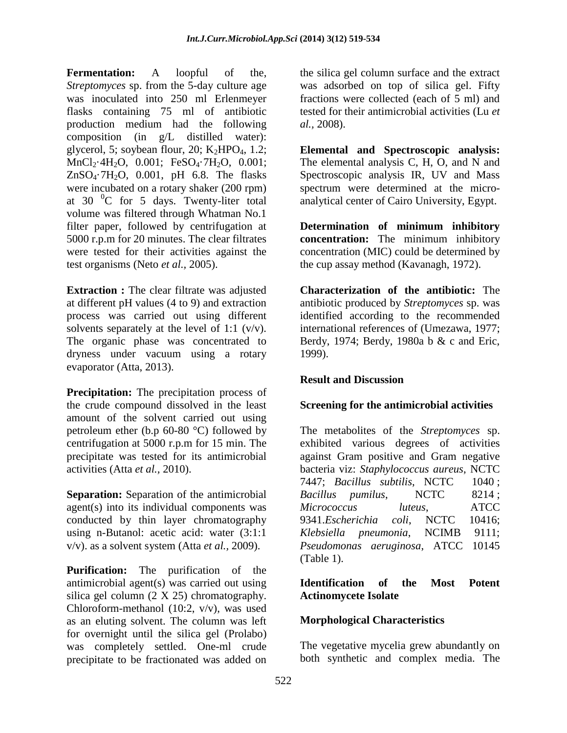**Fermentation:** A loopful of the, *Streptomyces* sp. from the 5-day culture age was inoculated into 250 ml Erlenmeyer flasks containing 75 ml of antibiotic production medium had the following composition (in g/L distilled water): glycerol, 5; soybean flour, 20;  $K_2HPO_4$ , 1.2; MnCl<sub>2</sub>·4H<sub>2</sub>O, 0.001; FeSO<sub>4</sub>·7H<sub>2</sub>O, 0.001;  $ZnSO<sub>4</sub>·7H<sub>2</sub>O$ , 0.001, pH 6.8. The flasks were incubated on a rotary shaker (200 rpm) at 30  $^{\circ}$ C for 5 days. Twenty-liter total volume was filtered through Whatman No.1 filter paper, followed by centrifugation at 5000 r.p.m for 20 minutes. The clear filtrates were tested for their activities against the test organisms (Neto *et al.,* 2005).

**Extraction :** The clear filtrate was adjusted at different pH values (4 to 9) and extraction process was carried out using different solvents separately at the level of 1:1 (v/v). The organic phase was concentrated to dryness under vacuum using a rotary evaporator (Atta, 2013).

**Precipitation:** The precipitation process of the crude compound dissolved in the least amount of the solvent carried out using petroleum ether (b.p 60-80 °C) followed by centrifugation at 5000 r.p.m for 15 min. The precipitate was tested for its antimicrobial activities (Atta *et al.,* 2010).

**Separation:** Separation of the antimicrobial agent(s) into its individual components was conducted by thin layer chromatography using n-Butanol: acetic acid: water (3:1:1 v/v). as a solvent system (Atta *et al.,* 2009).

**Purification:** The purification of the antimicrobial agent(s) was carried out using silica gel column (2 X 25) chromatography. Chloroform-methanol (10:2, v/v), was used as an eluting solvent. The column was left for overnight until the silica gel (Prolabo) was completely settled. One-ml crude precipitate to be fractionated was added on

the silica gel column surface and the extract was adsorbed on top of silica gel. Fifty fractions were collected (each of 5 ml) and tested for their antimicrobial activities (Lu *et al.,* 2008).

**Elemental and Spectroscopic analysis:**  The elemental analysis C, H, O, and N and Spectroscopic analysis IR, UV and Mass spectrum were determined at the microanalytical center of Cairo University, Egypt.

**Determination of minimum inhibitory concentration:** The minimum inhibitory concentration (MIC) could be determined by the cup assay method (Kavanagh, 1972).

**Characterization of the antibiotic:** The antibiotic produced by *Streptomyces* sp. was identified according to the recommended international references of (Umezawa, 1977; Berdy, 1974; Berdy, 1980a b & c and Eric, 1999).

# **Result and Discussion**

# **Screening for the antimicrobial activities**

The metabolites of the *Streptomyces* sp. exhibited various degrees of activities against Gram positive and Gram negative bacteria viz: *Staphylococcus aureus*, NCTC 7447; *Bacillus subtilis*, NCTC 1040 ; *Bacillus pumilus*, NCTC 8214 ; *Micrococcus luteus*, ATCC 9341.*Escherichia coli*, NCTC 10416; *Klebsiella pneumonia*, NCIMB 9111; *Pseudomonas aeruginosa*, ATCC 10145 (Table 1).

### **Identification of the Most Potent Actinomycete Isolate**

# **Morphological Characteristics**

The vegetative mycelia grew abundantly on both synthetic and complex media. The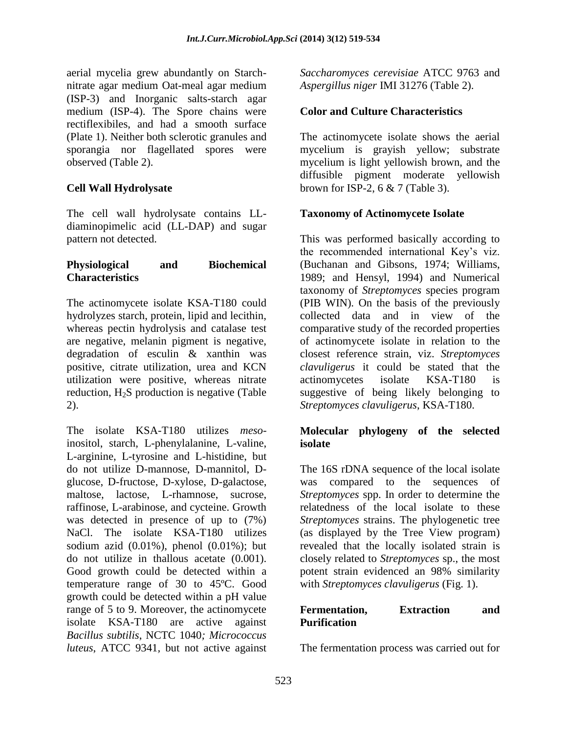aerial mycelia grew abundantly on Starchnitrate agar medium Oat-meal agar medium (ISP-3) and Inorganic salts-starch agar medium (ISP-4). The Spore chains were rectiflexibiles, and had a smooth surface (Plate 1). Neither both sclerotic granules and sporangia nor flagellated spores were observed (Table 2).

# **Cell Wall Hydrolysate**

The cell wall hydrolysate contains LLdiaminopimelic acid (LL-DAP) and sugar pattern not detected.

#### **Physiological and Biochemical Characteristics**

The actinomycete isolate KSA-T180 could hydrolyzes starch, protein, lipid and lecithin, whereas pectin hydrolysis and catalase test are negative, melanin pigment is negative, degradation of esculin & xanthin was positive, citrate utilization, urea and KCN utilization were positive, whereas nitrate reduction,  $H_2S$  production is negative (Table 2).

The isolate KSA-T180 utilizes *meso*inositol, starch, L-phenylalanine, L-valine, L-arginine, L-tyrosine and L-histidine, but do not utilize D-mannose, D-mannitol, Dglucose, D-fructose, D-xylose, D-galactose, maltose, lactose, L-rhamnose, sucrose, raffinose, L-arabinose, and cycteine. Growth was detected in presence of up to (7%) NaCl. The isolate KSA-T180 utilizes sodium azid (0.01%), phenol (0.01%); but do not utilize in thallous acetate (0.001). Good growth could be detected within a temperature range of 30 to 45ºC. Good growth could be detected within a pH value range of 5 to 9. Moreover, the actinomycete isolate KSA-T180 are active against *Bacillus subtilis*, NCTC 1040*; Micrococcus luteus*, ATCC 9341*,* but not active against

*Saccharomyces cerevisiae* ATCC 9763 and *Aspergillus niger* IMI 31276 (Table 2).

# **Color and Culture Characteristics**

The actinomycete isolate shows the aerial mycelium is grayish yellow; substrate mycelium is light yellowish brown, and the diffusible pigment moderate yellowish brown for ISP-2, 6 & 7 (Table 3).

#### **Taxonomy of Actinomycete Isolate**

This was performed basically according to the recommended international Key's viz. (Buchanan and Gibsons, 1974; Williams, 1989; and Hensyl, 1994) and Numerical taxonomy of *Streptomyces* species program (PIB WIN). On the basis of the previously collected data and in view of the comparative study of the recorded properties of actinomycete isolate in relation to the closest reference strain, viz. *Streptomyces clavuligerus* it could be stated that the actinomycetes isolate KSA-T180 is suggestive of being likely belonging to *Streptomyces clavuligerus*, KSA-T180.

#### **Molecular phylogeny of the selected isolate**

The 16S rDNA sequence of the local isolate was compared to the sequences of *Streptomyces* spp. In order to determine the relatedness of the local isolate to these *Streptomyces* strains. The phylogenetic tree (as displayed by the Tree View program) revealed that the locally isolated strain is closely related to *Streptomyces* sp., the most potent strain evidenced an 98% similarity with *Streptomyces clavuligerus* (Fig. 1).

#### **Fermentation, Extraction and Purification**

The fermentation process was carried out for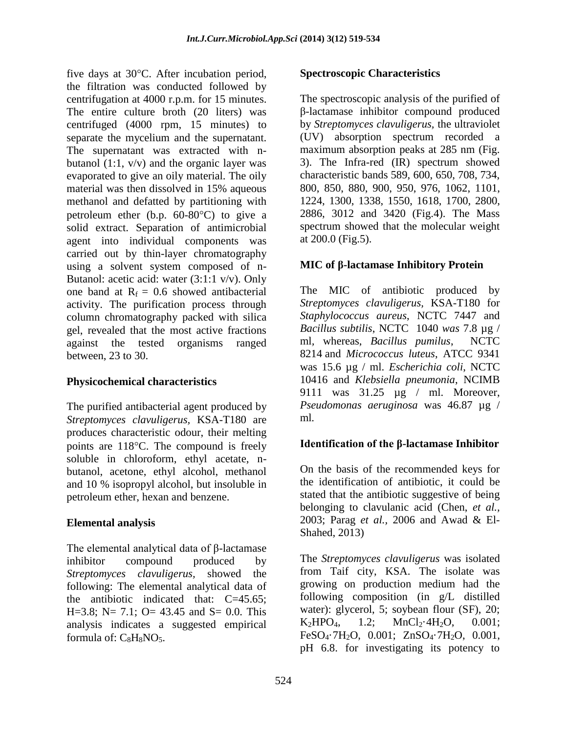five days at  $30^{\circ}$ C. After incubation period, the filtration was conducted followed by centrifugation at 4000 r.p.m. for 15 minutes. The entire culture broth (20 liters) was centrifuged (4000 rpm, 15 minutes) to separate the mycelium and the supernatant. The supernatant was extracted with nbutanol  $(1:1, v/v)$  and the organic layer was evaporated to give an oily material. The oily material was then dissolved in 15% aqueous methanol and defatted by partitioning with petroleum ether (b.p.  $60-80^{\circ}$ C) to give a solid extract. Separation of antimicrobial agent into individual components was carried out by thin-layer chromatography using a solvent system composed of n-Butanol: acetic acid: water (3:1:1 v/v). Only one band at  $R_f = 0.6$  showed antibacterial activity. The purification process through column chromatography packed with silica gel, revealed that the most active fractions against the tested organisms ranged between, 23 to 30.

# **Physicochemical characteristics**

The purified antibacterial agent produced by *Streptomyces clavuligerus,* KSA-T180 are produces characteristic odour, their melting points are  $118^{\circ}$ C. The compound is freely soluble in chloroform, ethyl acetate, nbutanol, acetone, ethyl alcohol, methanol and 10 % isopropyl alcohol, but insoluble in petroleum ether, hexan and benzene.

# **Elemental analysis**

The elemental analytical data of β-lactamase inhibitor compound produced by *Streptomyces clavuligerus,* showed the following: The elemental analytical data of the antibiotic indicated that: C=45.65; H=3.8; N= 7.1; O= 43.45 and S= 0.0. This analysis indicates a suggested empirical formula of:  $C_8H_8NO_5$ .

#### **Spectroscopic Characteristics**

The spectroscopic analysis of the purified of β-lactamase inhibitor compound produced by *Streptomyces clavuligerus,* the ultraviolet (UV) absorption spectrum recorded a maximum absorption peaks at 285 nm (Fig. 3). The Infra-red (IR) spectrum showed characteristic bands 589, 600, 650, 708, 734, 800, 850, 880, 900, 950, 976, 1062, 1101, 1224, 1300, 1338, 1550, 1618, 1700, 2800, 2886, 3012 and 3420 (Fig.4). The Mass spectrum showed that the molecular weight at 200.0 (Fig.5).

### **MIC of β-lactamase Inhibitory Protein**

The MIC of antibiotic produced by *Streptomyces clavuligerus,* KSA-T180 for *Staphylococcus aureus*, NCTC 7447 and *Bacillus subtilis*, NCTC 1040 *was* 7.8 µg / ml*,* whereas, *Bacillus pumilus*, NCTC 8214 and *Micrococcus luteus*, ATCC 9341 was 15.6 µg / ml. *Escherichia coli*, NCTC 10416 and *Klebsiella pneumonia*, NCIMB 9111 was 31.25 µg / ml. Moreover, *Pseudomonas aeruginosa* was 46.87 µg / ml*.*

#### **Identification of the β-lactamase Inhibitor**

On the basis of the recommended keys for the identification of antibiotic, it could be stated that the antibiotic suggestive of being belonging to clavulanic acid (Chen, *et al.,*  2003; Parag *et al.,* 2006 and Awad & El-Shahed, 2013)

The *Streptomyces clavuligerus* was isolated from Taif city, KSA. The isolate was growing on production medium had the following composition (in g/L distilled water): glycerol, 5; soybean flour (SF), 20;  $K_2HPO_4$ , 1.2;  $MnCl_2.4H_2O$ , 0.001; FeSO<sub>4</sub> $\cdot$ 7H<sub>2</sub>O, 0.001; ZnSO<sub>4</sub> $\cdot$ 7H<sub>2</sub>O, 0.001, pH 6.8. for investigating its potency to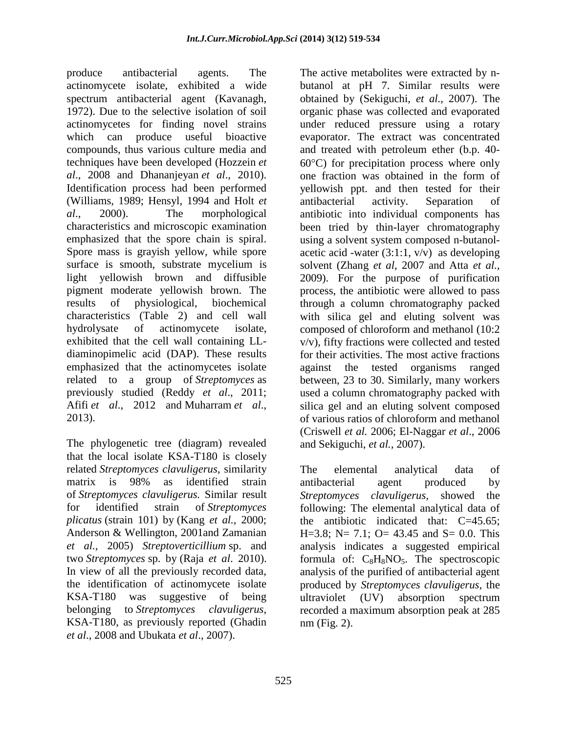produce antibacterial agents. The actinomycete isolate, exhibited a wide spectrum antibacterial agent (Kavanagh, 1972). Due to the selective isolation of soil actinomycetes for finding novel strains which can produce useful bioactive compounds, thus various culture media and techniques have been developed [\(Hozzein](http://scialert.net/fulltext/?doi=jm.2014.1.15#885795_ja) *et al*[., 2008](http://scialert.net/fulltext/?doi=jm.2014.1.15#885795_ja) and [Dhananjeyan](http://scialert.net/fulltext/?doi=jm.2014.1.15#599226_ja) *et al*., 2010). Identification process had been performed [\(Williams, 1989;](http://scialert.net/fulltext/?doi=jm.2014.1.15#11670_b) [Hensyl, 1994](http://scialert.net/fulltext/?doi=jm.2014.1.15#72625_b) and Holt *et al*., 2000). The morphological characteristics and microscopic examination emphasized that the spore chain is spiral. Spore mass is grayish yellow, while spore surface is smooth, substrate mycelium is light yellowish brown and diffusible pigment moderate yellowish brown. The results of physiological, biochemical characteristics [\(Table 2\)](http://scialert.net/fulltext/?doi=jm.2014.1.15#t2) and cell wall hydrolysate of actinomycete isolate, exhibited that the cell wall containing LLdiaminopimelic acid (DAP). These results emphasized that the actinomycetes isolate related to a group of *Streptomyces* as previously studied (Reddy *et al*., 2011; Afifi *et al*., 2012 and [Muharram](http://scialert.net/fulltext/?doi=jm.2014.1.15#1225569_ja) *et al*., [2013\)](http://scialert.net/fulltext/?doi=jm.2014.1.15#1225569_ja).

The phylogenetic tree (diagram) revealed that the local isolate KSA-T180 is closely related *Streptomyces clavuligerus*, similarity matrix is 98% as identified strain of *Streptomyces clavuligerus.* Similar result for identified strain of *Streptomyces plicatus* (strain 101) by (Kang *et al.,* 2000; Anderson & Wellington, 2001and Zamanian *et al.,* 2005) *Streptoverticillium* sp. and two *Streptomyces* sp. by (Raja *et al*[. 2010\).](http://scialert.net/fulltext/?doi=jm.2014.1.15#404207_ja) In view of all the previously recorded data, the identification of actinomycete isolate KSA-T180 was suggestive of being belonging to *Streptomyces clavuligerus*, KSA-T180, as previously reported [\(Ghadin](http://scialert.net/fulltext/?doi=jm.2014.1.15#117149_ja)  *et al*[., 2008](http://scialert.net/fulltext/?doi=jm.2014.1.15#117149_ja) and [Ubukata](http://scialert.net/fulltext/?doi=jm.2014.1.15#709169_ja) *et al*., 2007).

butanol at pH 7. Similar results were obtained by (Sekiguchi, *et al.,* 2007). The organic phase was collected and evaporated under reduced pressure using a rotary evaporator. The extract was concentrated and treated with petroleum ether (b.p. 40-  $60^{\circ}$ C) for precipitation process where only one fraction was obtained in the form of yellowish ppt. and then tested for their antibacterial activity. Separation of antibiotic into individual components has been tried by thin-layer chromatography using a solvent system composed n-butanolacetic acid -water  $(3:1:1, v/v)$  as developing solvent (Zhang *et al*, 2007 and Atta *et al.,*  2009). For the purpose of purification process, the antibiotic were allowed to pass through a column chromatography packed with silica gel and eluting solvent was composed of chloroform and methanol (10:2 v/v), fifty fractions were collected and tested for their activities. The most active fractions against the tested organisms ranged between, 23 to 30. Similarly, many workers used a column chromatography packed with silica gel and an eluting solvent composed of various ratios of chloroform and methanol (Criswell *et al.* 2006; El-Naggar *et al*., 2006 and Sekiguchi, *et al.,* 2007).

The active metabolites were extracted by n-

The elemental analytical data of antibacterial agent produced by *Streptomyces clavuligerus,* showed the following: The elemental analytical data of the antibiotic indicated that: C=45.65; H=3.8; N= 7.1; O= 43.45 and S= 0.0. This analysis indicates a suggested empirical formula of:  $C_8H_8NO_5$ . The spectroscopic analysis of the purified of antibacterial agent produced by *Streptomyces clavuligerus,* the ultraviolet (UV) absorption spectrum recorded a maximum absorption peak at 285 nm (Fig. 2).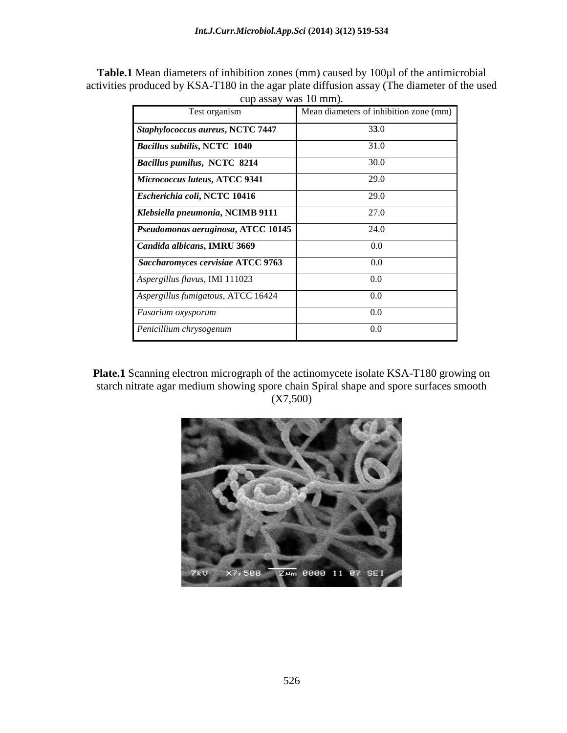| <b>Table.1</b> Mean diameters of inhibition zones (mm) caused by 100µl of the antimicrobial |
|---------------------------------------------------------------------------------------------|
| activities produced by KSA-T180 in the agar plate diffusion assay (The diameter of the used |
| cup assay was 10 mm).                                                                       |

| Test organism                       | Mean diameters of inhibition zone (mm) |  |  |  |
|-------------------------------------|----------------------------------------|--|--|--|
| Staphylococcus aureus, NCTC 7447    | 33.0                                   |  |  |  |
| <b>Bacillus subtilis, NCTC 1040</b> | 31.0                                   |  |  |  |
| <b>Bacillus pumilus, NCTC 8214</b>  | 30.0                                   |  |  |  |
| Micrococcus luteus, ATCC 9341       | 29.0                                   |  |  |  |
| Escherichia coli, NCTC 10416        | 29.0                                   |  |  |  |
| Klebsiella pneumonia, NCIMB 9111    | 27.0                                   |  |  |  |
| Pseudomonas aeruginosa, ATCC 10145  | 24.0                                   |  |  |  |
| Candida albicans, IMRU 3669         | 0.0                                    |  |  |  |
| Saccharomyces cervisiae ATCC 9763   | 0.0                                    |  |  |  |
| Aspergillus flavus, IMI 111023      | 0.0                                    |  |  |  |
| Aspergillus fumigatous, ATCC 16424  | 0.0                                    |  |  |  |
| Fusarium oxysporum                  | 0.0                                    |  |  |  |
| Penicillium chrysogenum             | 0.0                                    |  |  |  |

**Plate.1** Scanning electron micrograph of the actinomycete isolate KSA-T180 growing on starch nitrate agar medium showing spore chain Spiral shape and spore surfaces smooth (X7,500)

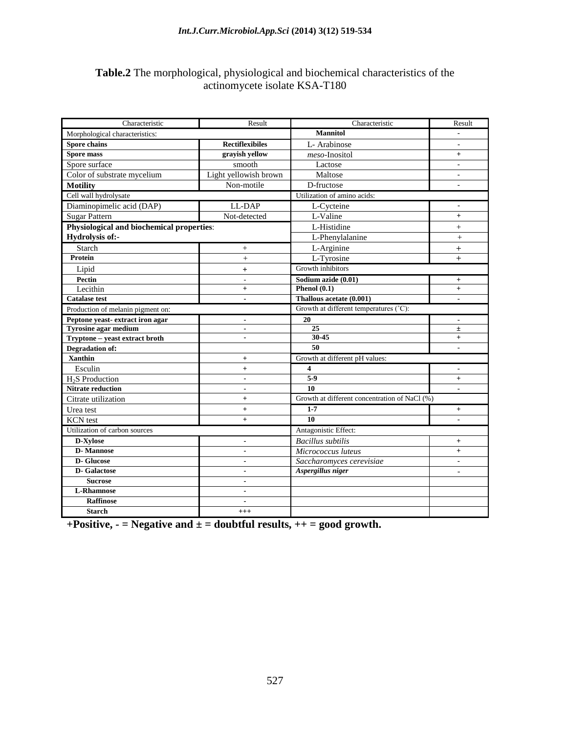#### *Int.J.Curr.Microbiol.App.Sci* **(2014) 3(12) 519-534**

### **Table.2** The morphological, physiological and biochemical characteristics of the actinomycete isolate KSA-T180

| Characteristic                            | Result                   | Characteristic                                       | Result                       |  |
|-------------------------------------------|--------------------------|------------------------------------------------------|------------------------------|--|
| Morphological characteristics:            |                          | <b>Mannitol</b>                                      |                              |  |
| Spore chains                              | <b>Rectiflexibiles</b>   | L-Arabinose                                          | $\blacksquare$               |  |
| <b>Spore mass</b>                         | gravish vellow           | meso-Inositol                                        | $^{+}$                       |  |
| Spore surface                             | smooth                   | Lactose                                              | $\blacksquare$               |  |
| Color of substrate mycelium               | Light yellowish brown    | Maltose                                              | $\overline{a}$               |  |
| <b>Motility</b>                           | Non-motile               | D-fructose                                           |                              |  |
| Cell wall hydrolysate                     |                          | Utilization of amino acids:                          |                              |  |
| Diaminopimelic acid (DAP)                 | LL-DAP                   | L-Cycteine                                           |                              |  |
| <b>Sugar Pattern</b>                      | Not-detected             | L-Valine                                             | $+$                          |  |
| Physiological and biochemical properties: |                          | L-Histidine                                          | $^{+}$                       |  |
| Hydrolysis of:-                           |                          | L-Phenylalanine                                      | $^{+}$                       |  |
| Starch                                    | $^{+}$                   | L-Arginine                                           | $+$                          |  |
| <b>Protein</b>                            | $^{+}$                   | L-Tyrosine                                           | $^{+}$                       |  |
| Lipid                                     | $\ddot{}$                | Growth inhibitors                                    |                              |  |
| Pectin                                    | $\overline{\phantom{a}}$ | Sodium azide (0.01)                                  | $+$                          |  |
| Lecithin                                  | $\ddot{}$                | Phenol $(0.1)$                                       | $+$                          |  |
| <b>Catalase test</b>                      |                          | Thallous acetate (0.001)                             |                              |  |
| Production of melanin pigment on:         |                          | Growth at different temperatures (°C):               |                              |  |
| Peptone yeast-extract iron agar           | $\blacksquare$           | 20                                                   | $\qquad \qquad \blacksquare$ |  |
| <b>Tyrosine agar medium</b>               | $\blacksquare$           | 25                                                   | $\pm$                        |  |
| Tryptone - yeast extract broth            | $\blacksquare$           | 30-45                                                | $+$                          |  |
| <b>Degradation of:</b>                    |                          | 50<br>$\blacksquare$                                 |                              |  |
| <b>Xanthin</b>                            | $\ddot{}$                | Growth at different pH values:                       |                              |  |
| Esculin                                   | $^{+}$                   | 4<br>$\overline{a}$                                  |                              |  |
| H <sub>2</sub> S Production               | $\blacksquare$           | $5-9$                                                | $\qquad \qquad +$            |  |
| <b>Nitrate reduction</b>                  | $\blacksquare$           | 10                                                   |                              |  |
| Citrate utilization                       | $^{+}$                   | Growth at different concentration of NaCl (%)        |                              |  |
| Urea test                                 | $^{+}$                   | $1 - 7$                                              | $+$                          |  |
| <b>KCN</b> test                           | $+$                      | 10                                                   |                              |  |
| Utilization of carbon sources             |                          | Antagonistic Effect:                                 |                              |  |
| D-Xylose                                  | $\blacksquare$           | <b>Bacillus</b> subtilis                             | $+$                          |  |
| <b>D-Mannose</b>                          | $\blacksquare$           | Micrococcus luteus                                   | $+$                          |  |
| <b>D-Glucose</b>                          | $\blacksquare$           | Saccharomyces cerevisiae<br>$\overline{\phantom{a}}$ |                              |  |
| <b>D-</b> Galactose                       | $\blacksquare$           | Aspergillus niger<br>$\frac{1}{2}$                   |                              |  |
| <b>Sucrose</b>                            |                          |                                                      |                              |  |
| <b>L-Rhamnose</b>                         | $\blacksquare$           |                                                      |                              |  |
| <b>Raffinose</b>                          | $\blacksquare$           |                                                      |                              |  |
| <b>Starch</b>                             | $^{+++}$                 |                                                      |                              |  |

**+Positive, - = Negative and ± = doubtful results, ++ = good growth.**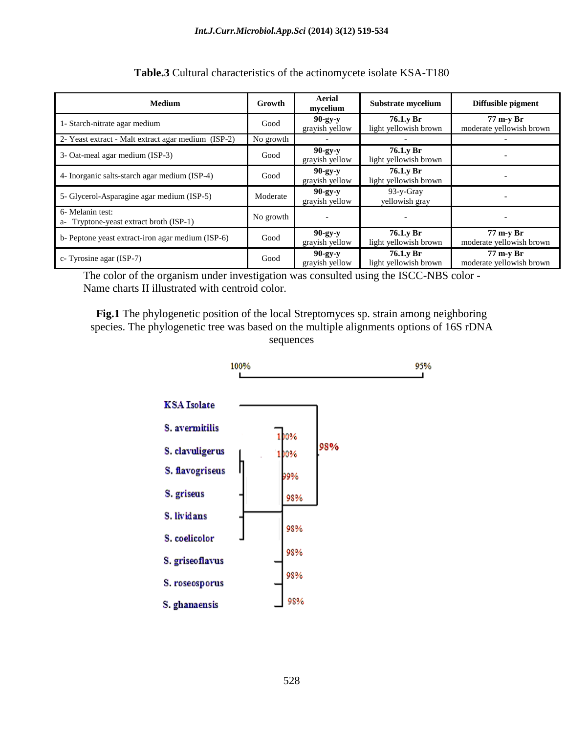| <b>Medium</b>                                               | Growth    | Aerial<br>mvcelium          | Substrate mycelium                 | Diffusible pigment                    |
|-------------------------------------------------------------|-----------|-----------------------------|------------------------------------|---------------------------------------|
| 1- Starch-nitrate agar medium                               | Good      | $90-gy-y$<br>grayish yellow | 76.1.y Br<br>light yellowish brown | 77 m-y Br<br>moderate yellowish brown |
| 2- Yeast extract - Malt extract agar medium (ISP-2)         | No growth |                             |                                    |                                       |
| 3- Oat-meal agar medium (ISP-3)                             | Good      | $90-gy-y$<br>grayish yellow | 76.1.y Br<br>light yellowish brown |                                       |
| 4- Inorganic salts-starch agar medium (ISP-4)               | Good      | $90-gy-y$<br>grayish yellow | 76.1.y Br<br>light yellowish brown |                                       |
| 5- Glycerol-Asparagine agar medium (ISP-5)                  | Moderate  | $90-gy-y$<br>grayish yellow | $93-y-Gray$<br>yellowish gray      |                                       |
| 6- Melanin test:<br>a- Tryptone-yeast extract broth (ISP-1) | No growth |                             |                                    |                                       |
| b- Peptone yeast extract-iron agar medium (ISP-6)           | Good      | $90-gy-y$<br>grayish yellow | 76.1.y Br<br>light yellowish brown | 77 m-y Br<br>moderate yellowish brown |
| c- Tyrosine agar (ISP-7)                                    | Good      | $90-gy-y$<br>grayish yellow | 76.1.y Br<br>light yellowish brown | 77 m-y Br<br>moderate yellowish brown |

**Table.3** Cultural characteristics of the actinomycete isolate KSA-T180

The color of the organism under investigation was consulted using the ISCC-NBS color - Name charts II illustrated with centroid color.

**Fig.1** The phylogenetic position of the local Streptomyces sp. strain among neighboring species. The phylogenetic tree was based on the multiple alignments options of 16S rDNA sequences

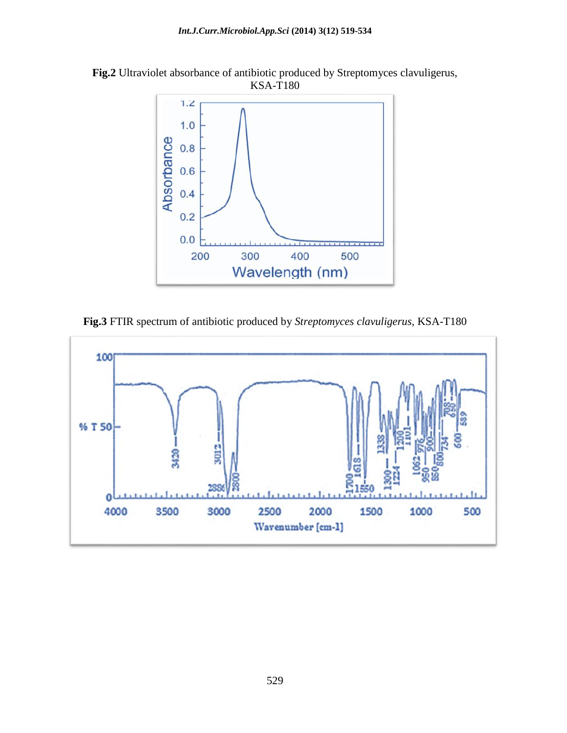



**Fig.3** FTIR spectrum of antibiotic produced by *Streptomyces clavuligerus,* KSA-T180

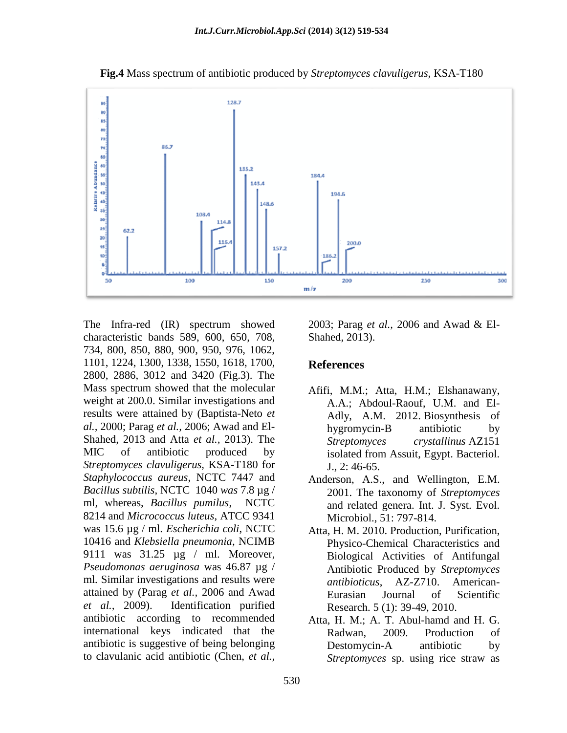

**Fig.4** Mass spectrum of antibiotic produced by *Streptomyces clavuligerus,* KSA-T180

The Infra-red (IR) spectrum showed characteristic bands 589, 600, 650, 708, 734, 800, 850, 880, 900, 950, 976, 1062, 1101, 1224, 1300, 1338, 1550, 1618, 1700, 2800, 2886, 3012 and 3420 (Fig.3). The Mass spectrum showed that the molecular weight at 200.0. Similar investigations and results were attained by (Baptista-Neto *et al.,* 2000; Parag *et al.,* 2006; Awad and El-Shahed, 2013 and Atta *et al.,* 2013). The MIC of antibiotic produced by *Streptomyces clavuligerus,* KSA-T180 for *Staphylococcus aureus*, NCTC 7447 and *Bacillus subtilis*, NCTC 1040 *was* 7.8 µg / ml*,* whereas, *Bacillus pumilus*, NCTC 8214 and *Micrococcus luteus*, ATCC 9341 was 15.6 µg / ml. *Escherichia coli*, NCTC 10416 and *Klebsiella pneumonia*, NCIMB 9111 was 31.25 µg / ml. Moreover, *Pseudomonas aeruginosa* was 46.87 µg / ml*.* Similar investigations and results were attained by (Parag *et al.,* 2006 and Awad *et al.,* 2009). Identification purified antibiotic according to recommended international keys indicated that the antibiotic is suggestive of being belonging to clavulanic acid antibiotic (Chen, *et al.,* 

2003; Parag *et al.,* 2006 and Awad & El-Shahed, 2013).

#### **References**

- Afifi, M.M.; Atta, H.M.; Elshanawany, A.A.; Abdoul-Raouf, U.M. and El-Adly, A.M. 2012. Biosynthesis of hygromycin-B antibiotic by *Streptomyces crystallinus* AZ151 isolated from Assuit, Egypt. Bacteriol. J., 2: 46-65.
- Anderson, A.S., and Wellington, E.M. 2001. The taxonomy of *Streptomyces*  and related genera. Int. J. Syst. Evol. Microbiol., 51: 797-814.
- Atta, H. M. 2010. Production, Purification, Physico-Chemical Characteristics and Biological Activities of Antifungal Antibiotic Produced by *Streptomyces antibioticus*, AZ-Z710. American-Eurasian Journal of Scientific Research. 5 (1): 39-49, 2010.
- Atta, H. M.; A. T. Abul-hamd and H. G. Radwan, 2009. Production of Destomycin-A antibiotic by *Streptomyces* sp. using rice straw as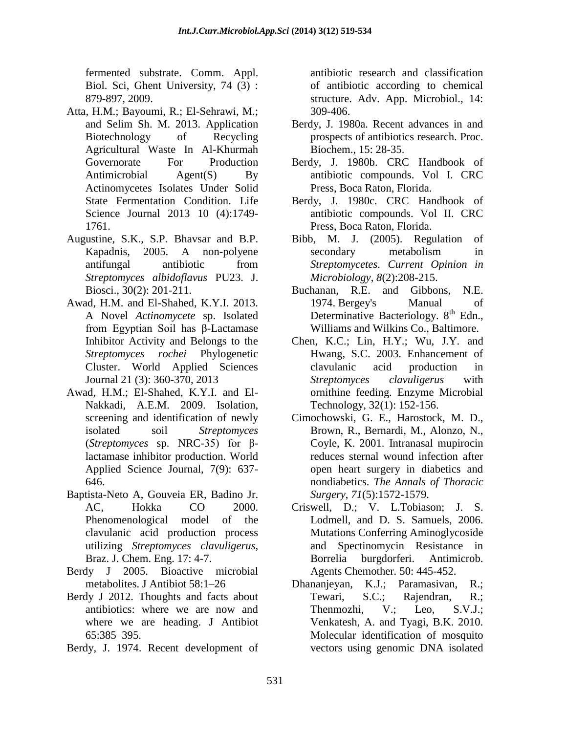fermented substrate. Comm. Appl. Biol. Sci, Ghent University, 74 (3) : 879-897, 2009.

- Atta, H.M.; Bayoumi, R.; El-Sehrawi, M.; and Selim Sh. M. 2013. Application Biotechnology of Recycling Agricultural Waste In Al-Khurmah Governorate For Production Antimicrobial Agent(S) By Actinomycetes Isolates Under Solid State Fermentation Condition. Life Science Journal 2013 10 (4):1749- 1761.
- Augustine, S.K., S.P. Bhavsar and B.P. Kapadnis, 2005. A non-polyene antifungal antibiotic from *Streptomyces albidoflavus* PU23. J. Biosci., 30(2): 201-211.
- Awad, H.M. and El-Shahed, K.Y.I. 2013. A Novel *Actinomycete* sp. Isolated from Egyptian Soil has β-Lactamase Inhibitor Activity and Belongs to the *Streptomyces rochei* Phylogenetic Cluster. World Applied Sciences Journal 21 (3): 360-370, 2013
- Awad, H.M.; El-Shahed, K.Y.I. and El-Nakkadi, A.E.M. 2009. Isolation, screening and identification of newly isolated soil *Streptomyces*  (*Streptomyces* sp. NRC-35) for βlactamase inhibitor production. World Applied Science Journal, 7(9): 637- 646.
- Baptista-Neto A, Gouveia ER, Badino Jr. AC, Hokka CO 2000. Phenomenological model of the clavulanic acid production process utilizing *Streptomyces clavuligerus,*  Braz. J. Chem. Eng. 17: 4-7.
- Berdy J 2005. Bioactive microbial metabolites. J Antibiot 58:1–26
- Berdy J 2012. Thoughts and facts about antibiotics: where we are now and where we are heading. J Antibiot 65:385–395.
- Berdy, J. 1974. Recent development of

antibiotic research and classification of antibiotic according to chemical structure. Adv. App. Microbiol., 14: 309-406.

- Berdy, J. 1980a. Recent advances in and prospects of antibiotics research. Proc. Biochem., 15: 28-35.
- Berdy, J. 1980b. CRC Handbook of antibiotic compounds. Vol I. CRC Press, Boca Raton, Florida.
- Berdy, J. 1980c. CRC Handbook of antibiotic compounds. Vol II. CRC Press, Boca Raton, Florida.
- Bibb, M. J. (2005). Regulation of secondary metabolism in *Streptomycetes*. *Current Opinion in Microbiology*, *8*(2):208-215.
- Buchanan, R.E. and Gibbons, N.E. 1974. Bergey's Manual of Determinative Bacteriology. 8<sup>th</sup> Edn., Williams and Wilkins Co., Baltimore.
- Chen, K.C.; Lin, H.Y.; Wu, J.Y. and Hwang, S.C. 2003. Enhancement of clavulanic acid production in *Streptomyces clavuligerus* with ornithine feeding. Enzyme Microbial Technology, 32(1): 152-156.
- Cimochowski, G. E., Harostock, M. D., Brown, R., Bernardi, M., Alonzo, N., Coyle, K. 2001. Intranasal mupirocin reduces sternal wound infection after open heart surgery in diabetics and nondiabetics. *The Annals of Thoracic Surgery*, *71*(5):1572-1579.
- Criswell, D.; V. L.Tobiason; J. S. Lodmell, and D. S. Samuels, 2006. Mutations Conferring Aminoglycoside and Spectinomycin Resistance in Borrelia burgdorferi. Antimicrob. Agents Chemother*.* 50: 445-452.
- Dhananjeyan, K.J.; Paramasivan, R.; Tewari, S.C.; Rajendran, R.; Thenmozhi, V.; Leo, S.V.J.; Venkatesh, A. and Tyagi, B.K. 2010. Molecular identification of mosquito vectors using genomic DNA isolated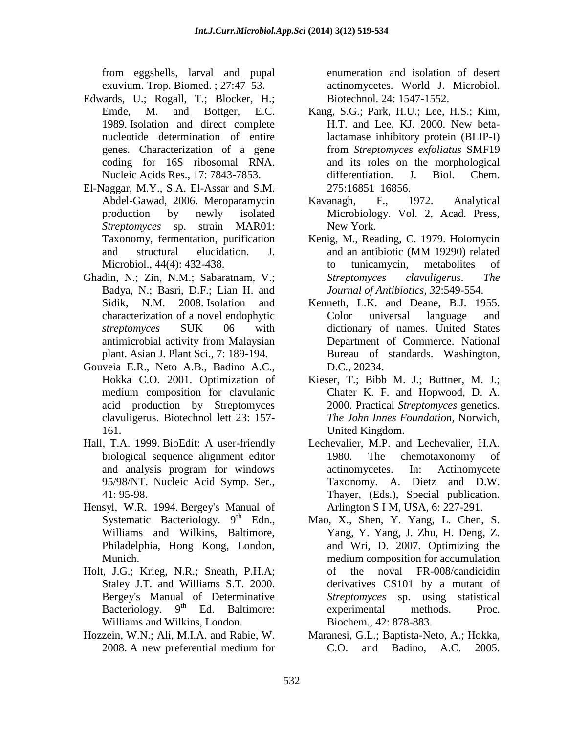from eggshells, larval and pupal exuvium. Trop. Biomed. ; 27:47–53.

- Edwards, U.; Rogall, T.; Blocker, H.; Emde, M. and Bottger, E.C. 1989. Isolation and direct complete nucleotide determination of entire genes. Characterization of a gene coding for 16S ribosomal RNA. Nucleic Acids Res., 17: 7843-7853.
- El-Naggar, M.Y., S.A. El-Assar and S.M. Abdel-Gawad, 2006. Meroparamycin production by newly isolated *Streptomyces* sp. strain MAR01: Taxonomy, fermentation, purification and structural elucidation. J. Microbiol., 44(4): 432-438.
- Ghadin, N.; Zin, N.M.; Sabaratnam, V.; Badya, N.; Basri, D.F.; Lian H. and Sidik, N.M. 2008. Isolation and characterization of a novel endophytic *streptomyces* SUK 06 with antimicrobial activity from Malaysian plant. Asian J. Plant Sci., 7: 189-194.
- Gouveia E.R., Neto A.B., Badino A.C., Hokka C.O. 2001. Optimization of medium composition for clavulanic acid production by Streptomyces clavuligerus. Biotechnol lett 23: 157- 161.
- Hall, T.A. 1999. BioEdit: A user-friendly biological sequence alignment editor and analysis program for windows 95/98/NT. Nucleic Acid Symp. Ser., 41: 95-98.
- Hensyl, W.R. 1994. Bergey's Manual of Systematic Bacteriology.  $9<sup>th</sup>$  Edn., Williams and Wilkins, Baltimore, Philadelphia, Hong Kong, London, Munich.
- Holt, J.G.; Krieg, N.R.; Sneath, P.H.A; Staley J.T. and Williams S.T. 2000. Bergey's Manual of Determinative Bacteriology.  $9<sup>th</sup>$  Ed. Baltimore: Williams and Wilkins, London.
- Hozzein, W.N.; Ali, M.I.A. and Rabie, W. 2008. A new preferential medium for

enumeration and isolation of desert actinomycetes. World J. Microbiol. Biotechnol. 24: 1547-1552.

- Kang, S.G.; Park, H.U.; Lee, H.S.; Kim, H.T. and Lee, KJ. 2000. New betalactamase inhibitory protein (BLIP-I) from *Streptomyces exfoliatus* SMF19 and its roles on the morphological differentiation. J. Biol. Chem. 275:16851–16856.
- Kavanagh, F., 1972. Analytical Microbiology. Vol. 2, Acad. Press, New York.
- Kenig, M., Reading, C. 1979. Holomycin and an antibiotic (MM 19290) related to tunicamycin, metabolites of *Streptomyces clavuligerus*. *The Journal of Antibiotics*, *32*:549-554.
- Kenneth, L.K. and Deane, B.J. 1955. Color universal language and dictionary of names. United States Department of Commerce. National Bureau of standards. Washington, D.C., 20234.
- Kieser, T.; Bibb M. J.; Buttner, M. J.; Chater K. F. and Hopwood, D. A. 2000. Practical *Streptomyces* genetics. *The John Innes Foundation*, Norwich, United Kingdom.
- Lechevalier, M.P. and Lechevalier, H.A. 1980. The chemotaxonomy of actinomycetes. In: Actinomycete Taxonomy. A. Dietz and D.W. Thayer, (Eds.), Special publication. Arlington S I M, USA, 6: 227-291.
- Mao, X., Shen, Y. Yang, L. Chen, S. Yang, Y. Yang, J. Zhu, H. Deng, Z. and Wri, D. 2007. Optimizing the medium composition for accumulation of the noval FR-008/candicidin derivatives CS101 by a mutant of *Streptomyces* sp. using statistical experimental methods. Proc. Biochem., 42: 878-883.
- Maranesi, G.L.; Baptista-Neto, A.; Hokka, C.O. and Badino, A.C. 2005.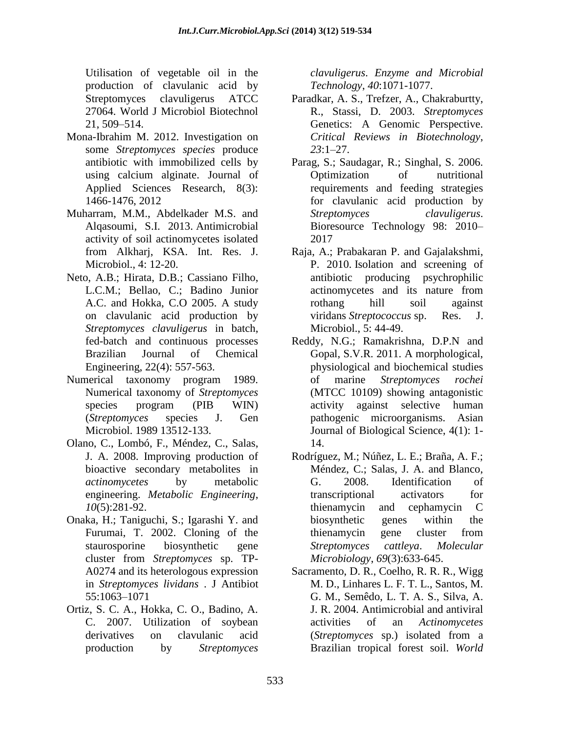Utilisation of vegetable oil in the production of clavulanic acid by Streptomyces clavuligerus ATCC 27064. World J Microbiol Biotechnol 21, 509–514.

- Mona-Ibrahim M. 2012. Investigation on some *Streptomyces species* produce antibiotic with immobilized cells by using calcium alginate. Journal of Applied Sciences Research, 8(3): 1466-1476, 2012
- Muharram, M.M., Abdelkader M.S. and Alqasoumi, S.I. 2013. Antimicrobial activity of soil actinomycetes isolated from Alkharj, KSA. Int. Res. J. Microbiol., 4: 12-20.
- Neto, A.B.; Hirata, D.B.; Cassiano Filho, L.C.M.; Bellao, C.; Badino Junior A.C. and Hokka, C.O 2005. A study on clavulanic acid production by *Streptomyces clavuligerus* in batch, fed-batch and continuous processes Brazilian Journal of Chemical Engineering, 22(4): 557-563.
- Numerical taxonomy program 1989. Numerical taxonomy of *Streptomyces* species program (PIB WIN) (*Streptomyces* species J. Gen Microbiol. 1989 13512-133.
- Olano, C., Lombó, F., Méndez, C., Salas, J. A. 2008. Improving production of bioactive secondary metabolites in *actinomycetes* by metabolic engineering. *Metabolic Engineering*, *10*(5):281-92.
- Onaka, H.; Taniguchi, S.; Igarashi Y. and Furumai, T. 2002. Cloning of the staurosporine biosynthetic gene cluster from *Streptomyces* sp. TP-A0274 and its heterologous expression in *Streptomyces lividans* . J Antibiot 55:1063–1071
- Ortiz, S. C. A., Hokka, C. O., Badino, A. C. 2007. Utilization of soybean derivatives on clavulanic acid production by *Streptomyces*

*clavuligerus*. *Enzyme and Microbial Technology*, *40*:1071-1077.

- Paradkar, A. S., Trefzer, A., Chakraburtty, R., Stassi, D. 2003. *Streptomyces* Genetics: A Genomic Perspective. *Critical Reviews in Biotechnology*, *23*:1–27.
- Parag, S.; Saudagar, R.; Singhal, S. 2006. Optimization of nutritional requirements and feeding strategies for clavulanic acid production by *Streptomyces clavuligerus*. Bioresource Technology 98: 2010– 2017
- Raja, A.; Prabakaran P. and Gajalakshmi, P. 2010. Isolation and screening of antibiotic producing psychrophilic actinomycetes and its nature from rothang hill soil against viridans *Streptococcus* sp. Res. J. Microbiol., 5: 44-49.
- Reddy, N.G.; Ramakrishna, D.P.N and Gopal, S.V.R. 2011. A morphological, physiological and biochemical studies of marine *Streptomyces rochei* (MTCC 10109) showing antagonistic activity against selective human pathogenic microorganisms. Asian Journal of Biological Science, 4(1): 1- 14.
- Rodríguez, M.; Núñez, L. E.; Braña, A. F.; Méndez, C.; Salas, J. A. and Blanco, G. 2008. Identification of transcriptional activators for thienamycin and cephamycin C biosynthetic genes within the thienamycin gene cluster from *Streptomyces cattleya*. *Molecular Microbiology*, *69*(3):633-645.
- Sacramento, D. R., Coelho, R. R. R., Wigg M. D., Linhares L. F. T. L., Santos, M. G. M., Semêdo, L. T. A. S., Silva, A. J. R. 2004. Antimicrobial and antiviral activities of an *Actinomycetes*  (*Streptomyces* sp.) isolated from a Brazilian tropical forest soil. *World*